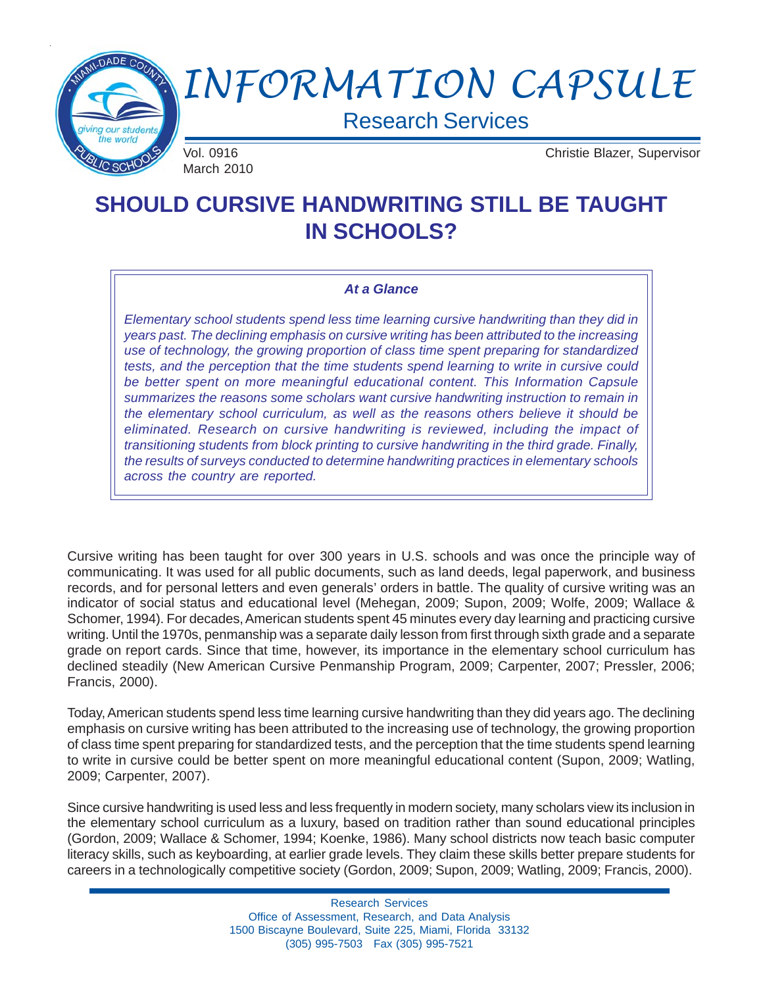

# *INFORMATION CAPSULE*

Research Services

March 2010

Vol. 0916 Christie Blazer, Supervisor

# **SHOULD CURSIVE HANDWRITING STILL BE TAUGHT IN SCHOOLS?**

#### *At a Glance*

*Elementary school students spend less time learning cursive handwriting than they did in years past. The declining emphasis on cursive writing has been attributed to the increasing use of technology, the growing proportion of class time spent preparing for standardized tests, and the perception that the time students spend learning to write in cursive could be better spent on more meaningful educational content. This Information Capsule summarizes the reasons some scholars want cursive handwriting instruction to remain in the elementary school curriculum, as well as the reasons others believe it should be eliminated. Research on cursive handwriting is reviewed, including the impact of transitioning students from block printing to cursive handwriting in the third grade. Finally, the results of surveys conducted to determine handwriting practices in elementary schools across the country are reported.*

Cursive writing has been taught for over 300 years in U.S. schools and was once the principle way of communicating. It was used for all public documents, such as land deeds, legal paperwork, and business records, and for personal letters and even generals' orders in battle. The quality of cursive writing was an indicator of social status and educational level (Mehegan, 2009; Supon, 2009; Wolfe, 2009; Wallace & Schomer, 1994). For decades, American students spent 45 minutes every day learning and practicing cursive writing. Until the 1970s, penmanship was a separate daily lesson from first through sixth grade and a separate grade on report cards. Since that time, however, its importance in the elementary school curriculum has declined steadily (New American Cursive Penmanship Program, 2009; Carpenter, 2007; Pressler, 2006; Francis, 2000).

Today, American students spend less time learning cursive handwriting than they did years ago. The declining emphasis on cursive writing has been attributed to the increasing use of technology, the growing proportion of class time spent preparing for standardized tests, and the perception that the time students spend learning to write in cursive could be better spent on more meaningful educational content (Supon, 2009; Watling, 2009; Carpenter, 2007).

Since cursive handwriting is used less and less frequently in modern society, many scholars view its inclusion in the elementary school curriculum as a luxury, based on tradition rather than sound educational principles (Gordon, 2009; Wallace & Schomer, 1994; Koenke, 1986). Many school districts now teach basic computer literacy skills, such as keyboarding, at earlier grade levels. They claim these skills better prepare students for careers in a technologically competitive society (Gordon, 2009; Supon, 2009; Watling, 2009; Francis, 2000).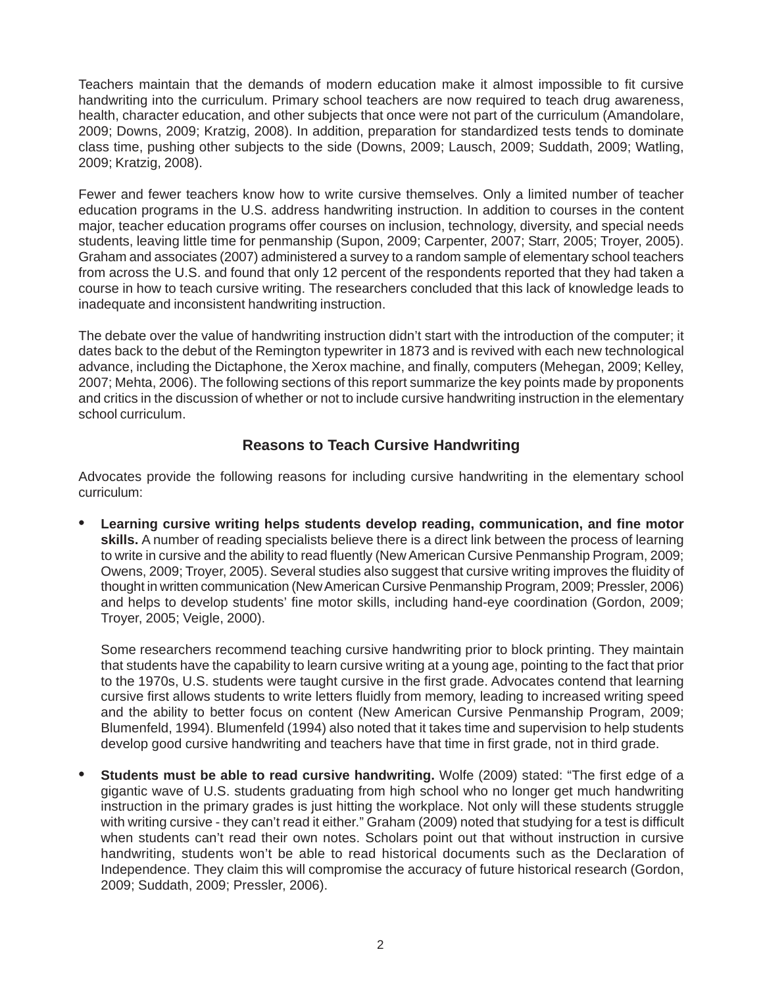Teachers maintain that the demands of modern education make it almost impossible to fit cursive handwriting into the curriculum. Primary school teachers are now required to teach drug awareness, health, character education, and other subjects that once were not part of the curriculum (Amandolare, 2009; Downs, 2009; Kratzig, 2008). In addition, preparation for standardized tests tends to dominate class time, pushing other subjects to the side (Downs, 2009; Lausch, 2009; Suddath, 2009; Watling, 2009; Kratzig, 2008).

Fewer and fewer teachers know how to write cursive themselves. Only a limited number of teacher education programs in the U.S. address handwriting instruction. In addition to courses in the content major, teacher education programs offer courses on inclusion, technology, diversity, and special needs students, leaving little time for penmanship (Supon, 2009; Carpenter, 2007; Starr, 2005; Troyer, 2005). Graham and associates (2007) administered a survey to a random sample of elementary school teachers from across the U.S. and found that only 12 percent of the respondents reported that they had taken a course in how to teach cursive writing. The researchers concluded that this lack of knowledge leads to inadequate and inconsistent handwriting instruction.

The debate over the value of handwriting instruction didn't start with the introduction of the computer; it dates back to the debut of the Remington typewriter in 1873 and is revived with each new technological advance, including the Dictaphone, the Xerox machine, and finally, computers (Mehegan, 2009; Kelley, 2007; Mehta, 2006). The following sections of this report summarize the key points made by proponents and critics in the discussion of whether or not to include cursive handwriting instruction in the elementary school curriculum.

# **Reasons to Teach Cursive Handwriting**

Advocates provide the following reasons for including cursive handwriting in the elementary school curriculum:

• **Learning cursive writing helps students develop reading, communication, and fine motor skills.** A number of reading specialists believe there is a direct link between the process of learning to write in cursive and the ability to read fluently (New American Cursive Penmanship Program, 2009; Owens, 2009; Troyer, 2005). Several studies also suggest that cursive writing improves the fluidity of thought in written communication (New American Cursive Penmanship Program, 2009; Pressler, 2006) and helps to develop students' fine motor skills, including hand-eye coordination (Gordon, 2009; Troyer, 2005; Veigle, 2000).

Some researchers recommend teaching cursive handwriting prior to block printing. They maintain that students have the capability to learn cursive writing at a young age, pointing to the fact that prior to the 1970s, U.S. students were taught cursive in the first grade. Advocates contend that learning cursive first allows students to write letters fluidly from memory, leading to increased writing speed and the ability to better focus on content (New American Cursive Penmanship Program, 2009; Blumenfeld, 1994). Blumenfeld (1994) also noted that it takes time and supervision to help students develop good cursive handwriting and teachers have that time in first grade, not in third grade.

• **Students must be able to read cursive handwriting.** Wolfe (2009) stated: "The first edge of a gigantic wave of U.S. students graduating from high school who no longer get much handwriting instruction in the primary grades is just hitting the workplace. Not only will these students struggle with writing cursive - they can't read it either." Graham (2009) noted that studying for a test is difficult when students can't read their own notes. Scholars point out that without instruction in cursive handwriting, students won't be able to read historical documents such as the Declaration of Independence. They claim this will compromise the accuracy of future historical research (Gordon, 2009; Suddath, 2009; Pressler, 2006).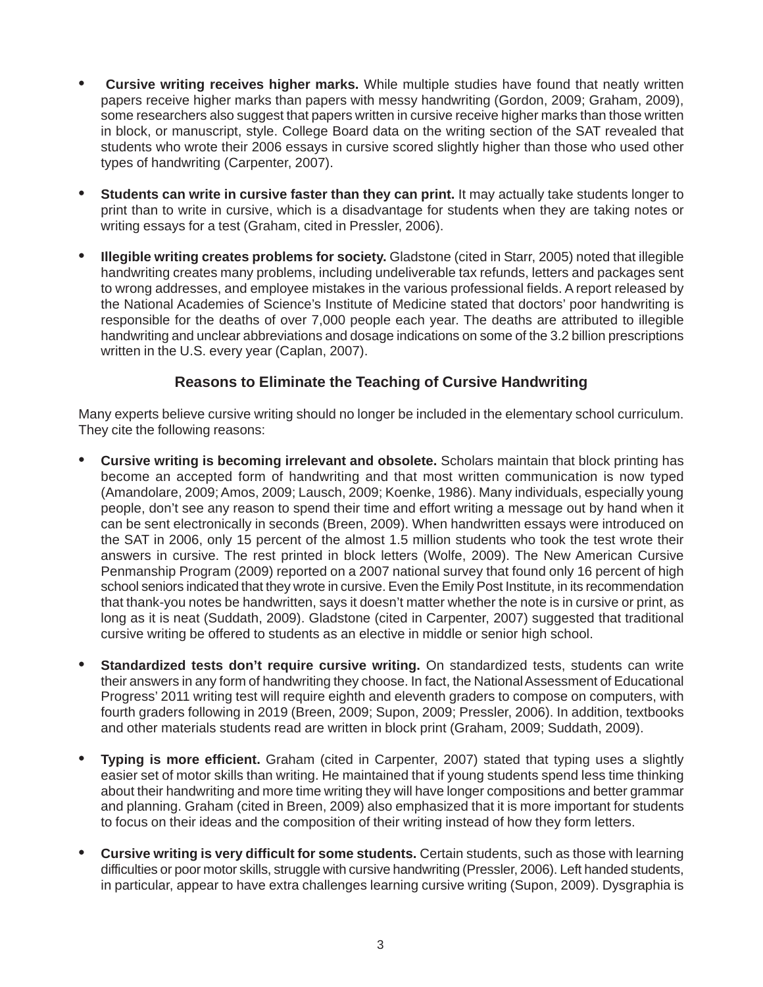- **Cursive writing receives higher marks.** While multiple studies have found that neatly written papers receive higher marks than papers with messy handwriting (Gordon, 2009; Graham, 2009), some researchers also suggest that papers written in cursive receive higher marks than those written in block, or manuscript, style. College Board data on the writing section of the SAT revealed that students who wrote their 2006 essays in cursive scored slightly higher than those who used other types of handwriting (Carpenter, 2007).
- **Students can write in cursive faster than they can print.** It may actually take students longer to print than to write in cursive, which is a disadvantage for students when they are taking notes or writing essays for a test (Graham, cited in Pressler, 2006).
- **Illegible writing creates problems for society.** Gladstone (cited in Starr, 2005) noted that illegible handwriting creates many problems, including undeliverable tax refunds, letters and packages sent to wrong addresses, and employee mistakes in the various professional fields. A report released by the National Academies of Science's Institute of Medicine stated that doctors' poor handwriting is responsible for the deaths of over 7,000 people each year. The deaths are attributed to illegible handwriting and unclear abbreviations and dosage indications on some of the 3.2 billion prescriptions written in the U.S. every year (Caplan, 2007).

### **Reasons to Eliminate the Teaching of Cursive Handwriting**

Many experts believe cursive writing should no longer be included in the elementary school curriculum. They cite the following reasons:

- **Cursive writing is becoming irrelevant and obsolete.** Scholars maintain that block printing has become an accepted form of handwriting and that most written communication is now typed (Amandolare, 2009; Amos, 2009; Lausch, 2009; Koenke, 1986). Many individuals, especially young people, don't see any reason to spend their time and effort writing a message out by hand when it can be sent electronically in seconds (Breen, 2009). When handwritten essays were introduced on the SAT in 2006, only 15 percent of the almost 1.5 million students who took the test wrote their answers in cursive. The rest printed in block letters (Wolfe, 2009). The New American Cursive Penmanship Program (2009) reported on a 2007 national survey that found only 16 percent of high school seniors indicated that they wrote in cursive. Even the Emily Post Institute, in its recommendation that thank-you notes be handwritten, says it doesn't matter whether the note is in cursive or print, as long as it is neat (Suddath, 2009). Gladstone (cited in Carpenter, 2007) suggested that traditional cursive writing be offered to students as an elective in middle or senior high school.
- **Standardized tests don't require cursive writing.** On standardized tests, students can write their answers in any form of handwriting they choose. In fact, the National Assessment of Educational Progress' 2011 writing test will require eighth and eleventh graders to compose on computers, with fourth graders following in 2019 (Breen, 2009; Supon, 2009; Pressler, 2006). In addition, textbooks and other materials students read are written in block print (Graham, 2009; Suddath, 2009).
- **Typing is more efficient.** Graham (cited in Carpenter, 2007) stated that typing uses a slightly easier set of motor skills than writing. He maintained that if young students spend less time thinking about their handwriting and more time writing they will have longer compositions and better grammar and planning. Graham (cited in Breen, 2009) also emphasized that it is more important for students to focus on their ideas and the composition of their writing instead of how they form letters.
- **Cursive writing is very difficult for some students.** Certain students, such as those with learning difficulties or poor motor skills, struggle with cursive handwriting (Pressler, 2006). Left handed students, in particular, appear to have extra challenges learning cursive writing (Supon, 2009). Dysgraphia is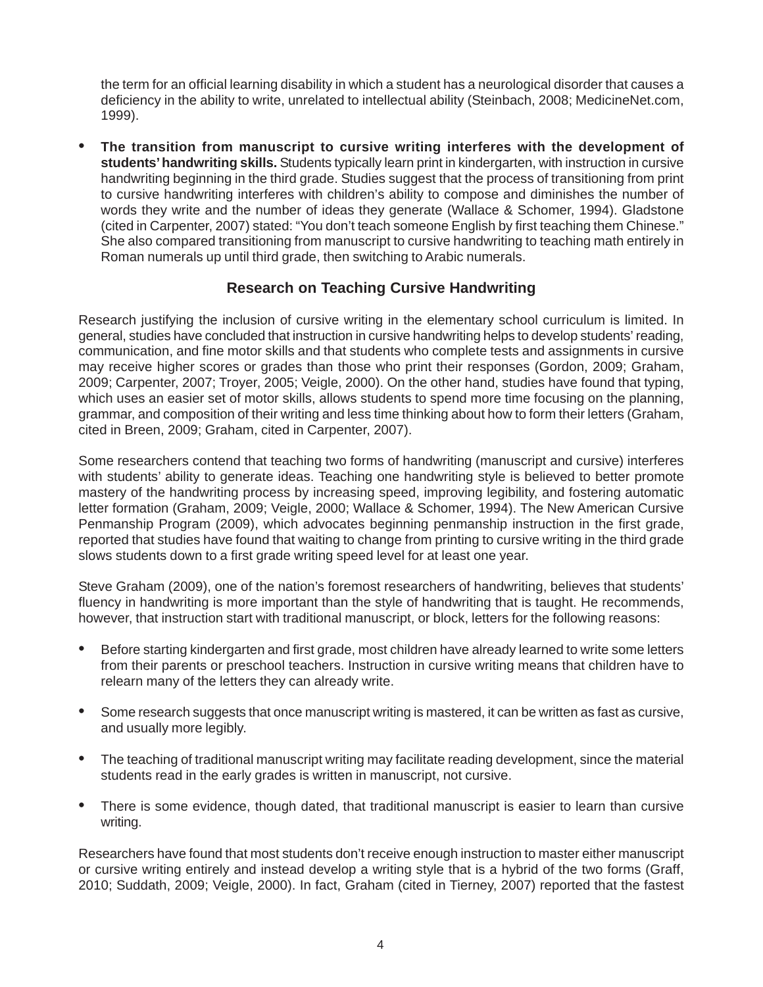the term for an official learning disability in which a student has a neurological disorder that causes a deficiency in the ability to write, unrelated to intellectual ability (Steinbach, 2008; MedicineNet.com, 1999).

• **The transition from manuscript to cursive writing interferes with the development of students' handwriting skills.** Students typically learn print in kindergarten, with instruction in cursive handwriting beginning in the third grade. Studies suggest that the process of transitioning from print to cursive handwriting interferes with children's ability to compose and diminishes the number of words they write and the number of ideas they generate (Wallace & Schomer, 1994). Gladstone (cited in Carpenter, 2007) stated: "You don't teach someone English by first teaching them Chinese." She also compared transitioning from manuscript to cursive handwriting to teaching math entirely in Roman numerals up until third grade, then switching to Arabic numerals.

## **Research on Teaching Cursive Handwriting**

Research justifying the inclusion of cursive writing in the elementary school curriculum is limited. In general, studies have concluded that instruction in cursive handwriting helps to develop students' reading, communication, and fine motor skills and that students who complete tests and assignments in cursive may receive higher scores or grades than those who print their responses (Gordon, 2009; Graham, 2009; Carpenter, 2007; Troyer, 2005; Veigle, 2000). On the other hand, studies have found that typing, which uses an easier set of motor skills, allows students to spend more time focusing on the planning, grammar, and composition of their writing and less time thinking about how to form their letters (Graham, cited in Breen, 2009; Graham, cited in Carpenter, 2007).

Some researchers contend that teaching two forms of handwriting (manuscript and cursive) interferes with students' ability to generate ideas. Teaching one handwriting style is believed to better promote mastery of the handwriting process by increasing speed, improving legibility, and fostering automatic letter formation (Graham, 2009; Veigle, 2000; Wallace & Schomer, 1994). The New American Cursive Penmanship Program (2009), which advocates beginning penmanship instruction in the first grade, reported that studies have found that waiting to change from printing to cursive writing in the third grade slows students down to a first grade writing speed level for at least one year.

Steve Graham (2009), one of the nation's foremost researchers of handwriting, believes that students' fluency in handwriting is more important than the style of handwriting that is taught. He recommends, however, that instruction start with traditional manuscript, or block, letters for the following reasons:

- Before starting kindergarten and first grade, most children have already learned to write some letters from their parents or preschool teachers. Instruction in cursive writing means that children have to relearn many of the letters they can already write.
- Some research suggests that once manuscript writing is mastered, it can be written as fast as cursive, and usually more legibly.
- The teaching of traditional manuscript writing may facilitate reading development, since the material students read in the early grades is written in manuscript, not cursive.
- There is some evidence, though dated, that traditional manuscript is easier to learn than cursive writing.

Researchers have found that most students don't receive enough instruction to master either manuscript or cursive writing entirely and instead develop a writing style that is a hybrid of the two forms (Graff, 2010; Suddath, 2009; Veigle, 2000). In fact, Graham (cited in Tierney, 2007) reported that the fastest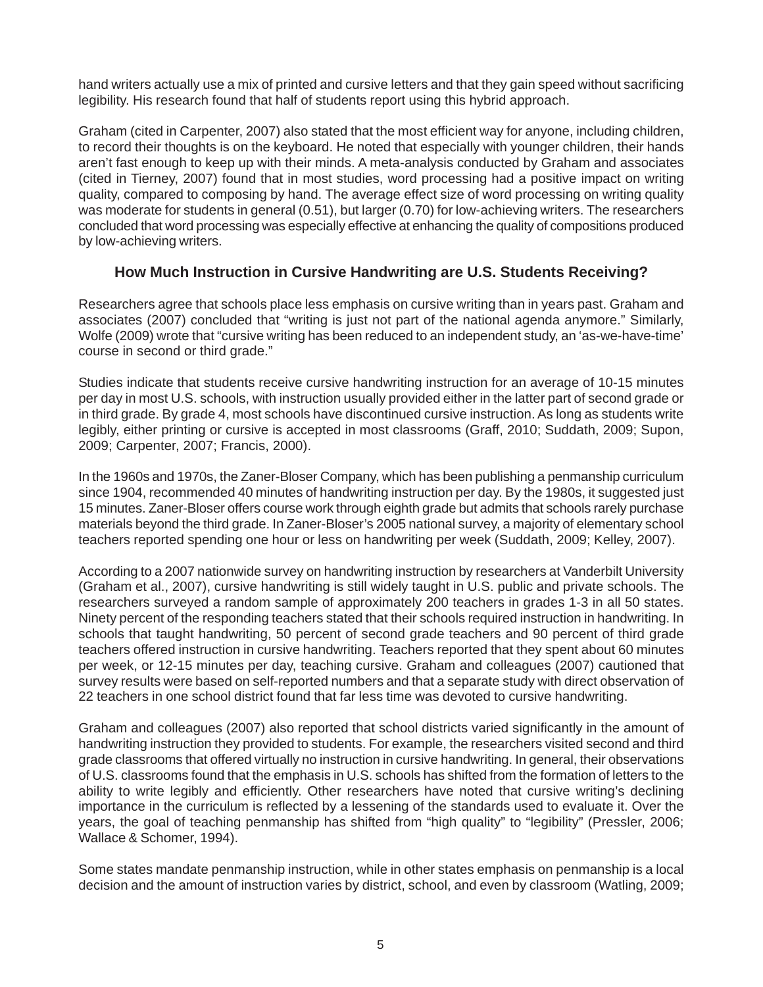hand writers actually use a mix of printed and cursive letters and that they gain speed without sacrificing legibility. His research found that half of students report using this hybrid approach.

Graham (cited in Carpenter, 2007) also stated that the most efficient way for anyone, including children, to record their thoughts is on the keyboard. He noted that especially with younger children, their hands aren't fast enough to keep up with their minds. A meta-analysis conducted by Graham and associates (cited in Tierney, 2007) found that in most studies, word processing had a positive impact on writing quality, compared to composing by hand. The average effect size of word processing on writing quality was moderate for students in general (0.51), but larger (0.70) for low-achieving writers. The researchers concluded that word processing was especially effective at enhancing the quality of compositions produced by low-achieving writers.

### **How Much Instruction in Cursive Handwriting are U.S. Students Receiving?**

Researchers agree that schools place less emphasis on cursive writing than in years past. Graham and associates (2007) concluded that "writing is just not part of the national agenda anymore." Similarly, Wolfe (2009) wrote that "cursive writing has been reduced to an independent study, an 'as-we-have-time' course in second or third grade."

Studies indicate that students receive cursive handwriting instruction for an average of 10-15 minutes per day in most U.S. schools, with instruction usually provided either in the latter part of second grade or in third grade. By grade 4, most schools have discontinued cursive instruction. As long as students write legibly, either printing or cursive is accepted in most classrooms (Graff, 2010; Suddath, 2009; Supon, 2009; Carpenter, 2007; Francis, 2000).

In the 1960s and 1970s, the Zaner-Bloser Company, which has been publishing a penmanship curriculum since 1904, recommended 40 minutes of handwriting instruction per day. By the 1980s, it suggested just 15 minutes. Zaner-Bloser offers course work through eighth grade but admits that schools rarely purchase materials beyond the third grade. In Zaner-Bloser's 2005 national survey, a majority of elementary school teachers reported spending one hour or less on handwriting per week (Suddath, 2009; Kelley, 2007).

According to a 2007 nationwide survey on handwriting instruction by researchers at Vanderbilt University (Graham et al., 2007), cursive handwriting is still widely taught in U.S. public and private schools. The researchers surveyed a random sample of approximately 200 teachers in grades 1-3 in all 50 states. Ninety percent of the responding teachers stated that their schools required instruction in handwriting. In schools that taught handwriting, 50 percent of second grade teachers and 90 percent of third grade teachers offered instruction in cursive handwriting. Teachers reported that they spent about 60 minutes per week, or 12-15 minutes per day, teaching cursive. Graham and colleagues (2007) cautioned that survey results were based on self-reported numbers and that a separate study with direct observation of 22 teachers in one school district found that far less time was devoted to cursive handwriting.

Graham and colleagues (2007) also reported that school districts varied significantly in the amount of handwriting instruction they provided to students. For example, the researchers visited second and third grade classrooms that offered virtually no instruction in cursive handwriting. In general, their observations of U.S. classrooms found that the emphasis in U.S. schools has shifted from the formation of letters to the ability to write legibly and efficiently. Other researchers have noted that cursive writing's declining importance in the curriculum is reflected by a lessening of the standards used to evaluate it. Over the years, the goal of teaching penmanship has shifted from "high quality" to "legibility" (Pressler, 2006; Wallace & Schomer, 1994).

Some states mandate penmanship instruction, while in other states emphasis on penmanship is a local decision and the amount of instruction varies by district, school, and even by classroom (Watling, 2009;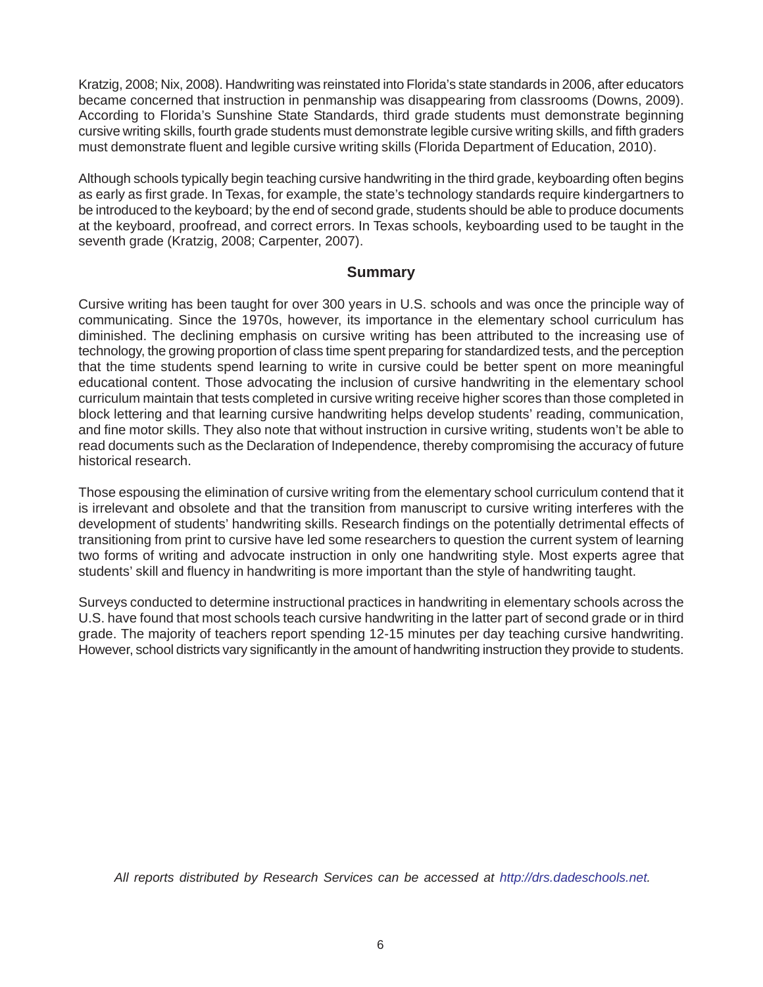Kratzig, 2008; Nix, 2008). Handwriting was reinstated into Florida's state standards in 2006, after educators became concerned that instruction in penmanship was disappearing from classrooms (Downs, 2009). According to Florida's Sunshine State Standards, third grade students must demonstrate beginning cursive writing skills, fourth grade students must demonstrate legible cursive writing skills, and fifth graders must demonstrate fluent and legible cursive writing skills (Florida Department of Education, 2010).

Although schools typically begin teaching cursive handwriting in the third grade, keyboarding often begins as early as first grade. In Texas, for example, the state's technology standards require kindergartners to be introduced to the keyboard; by the end of second grade, students should be able to produce documents at the keyboard, proofread, and correct errors. In Texas schools, keyboarding used to be taught in the seventh grade (Kratzig, 2008; Carpenter, 2007).

#### **Summary**

Cursive writing has been taught for over 300 years in U.S. schools and was once the principle way of communicating. Since the 1970s, however, its importance in the elementary school curriculum has diminished. The declining emphasis on cursive writing has been attributed to the increasing use of technology, the growing proportion of class time spent preparing for standardized tests, and the perception that the time students spend learning to write in cursive could be better spent on more meaningful educational content. Those advocating the inclusion of cursive handwriting in the elementary school curriculum maintain that tests completed in cursive writing receive higher scores than those completed in block lettering and that learning cursive handwriting helps develop students' reading, communication, and fine motor skills. They also note that without instruction in cursive writing, students won't be able to read documents such as the Declaration of Independence, thereby compromising the accuracy of future historical research.

Those espousing the elimination of cursive writing from the elementary school curriculum contend that it is irrelevant and obsolete and that the transition from manuscript to cursive writing interferes with the development of students' handwriting skills. Research findings on the potentially detrimental effects of transitioning from print to cursive have led some researchers to question the current system of learning two forms of writing and advocate instruction in only one handwriting style. Most experts agree that students' skill and fluency in handwriting is more important than the style of handwriting taught.

Surveys conducted to determine instructional practices in handwriting in elementary schools across the U.S. have found that most schools teach cursive handwriting in the latter part of second grade or in third grade. The majority of teachers report spending 12-15 minutes per day teaching cursive handwriting. However, school districts vary significantly in the amount of handwriting instruction they provide to students.

*All reports distributed by Research Services can be accessed at http://drs.dadeschools.net.*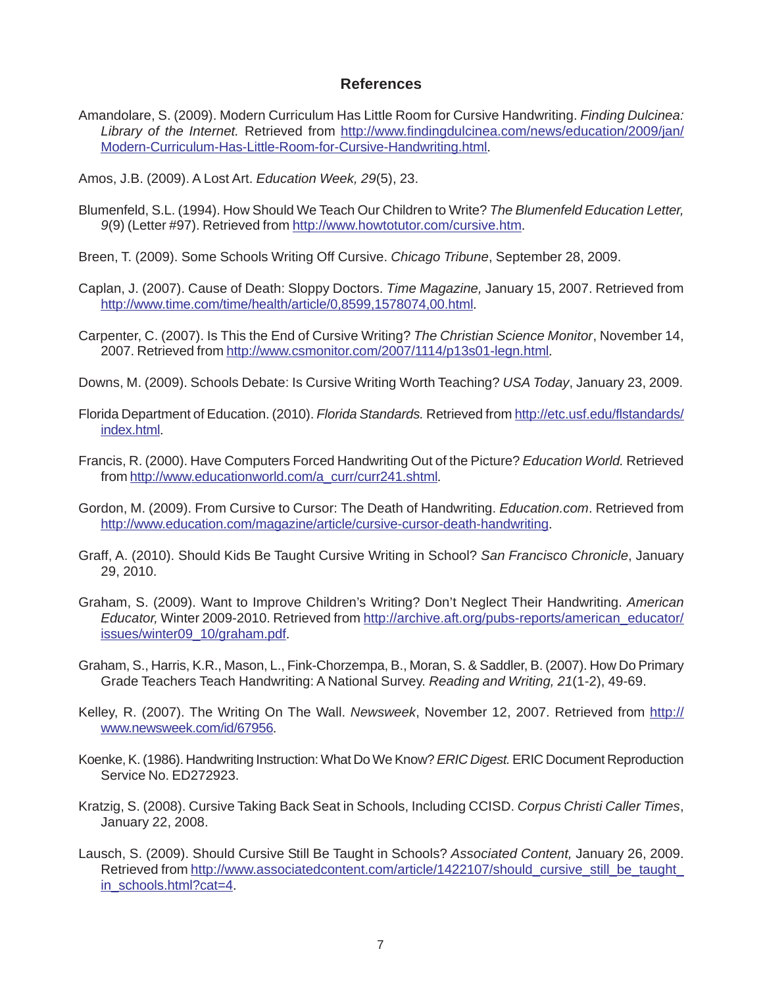#### **References**

Amandolare, S. (2009). Modern Curriculum Has Little Room for Cursive Handwriting. *Finding Dulcinea: Library of the Internet.* Retrieved from http://www.findingdulcinea.com/news/education/2009/jan/ Modern-Curriculum-Has-Little-Room-for-Cursive-Handwriting.html.

Amos, J.B. (2009). A Lost Art. *Education Week, 29*(5), 23.

- Blumenfeld, S.L. (1994). How Should We Teach Our Children to Write? *The Blumenfeld Education Letter, 9*(9) (Letter #97). Retrieved from http://www.howtotutor.com/cursive.htm.
- Breen, T. (2009). Some Schools Writing Off Cursive. *Chicago Tribune*, September 28, 2009.
- Caplan, J. (2007). Cause of Death: Sloppy Doctors. *Time Magazine,* January 15, 2007. Retrieved from http://www.time.com/time/health/article/0,8599,1578074,00.html.
- Carpenter, C. (2007). Is This the End of Cursive Writing? *The Christian Science Monitor*, November 14, 2007. Retrieved from http://www.csmonitor.com/2007/1114/p13s01-legn.html.
- Downs, M. (2009). Schools Debate: Is Cursive Writing Worth Teaching? *USA Today*, January 23, 2009.
- Florida Department of Education. (2010). *Florida Standards.* Retrieved from http://etc.usf.edu/flstandards/ index.html.
- Francis, R. (2000). Have Computers Forced Handwriting Out of the Picture? *Education World.* Retrieved from http://www.educationworld.com/a\_curr/curr241.shtml.
- Gordon, M. (2009). From Cursive to Cursor: The Death of Handwriting. *Education.com*. Retrieved from http://www.education.com/magazine/article/cursive-cursor-death-handwriting.
- Graff, A. (2010). Should Kids Be Taught Cursive Writing in School? *San Francisco Chronicle*, January 29, 2010.
- Graham, S. (2009). Want to Improve Children's Writing? Don't Neglect Their Handwriting. *American Educator,* Winter 2009-2010. Retrieved from http://archive.aft.org/pubs-reports/american\_educator/ issues/winter09\_10/graham.pdf.
- Graham, S., Harris, K.R., Mason, L., Fink-Chorzempa, B., Moran, S. & Saddler, B. (2007). How Do Primary Grade Teachers Teach Handwriting: A National Survey. *Reading and Writing, 21*(1-2), 49-69.
- Kelley, R. (2007). The Writing On The Wall. *Newsweek*, November 12, 2007. Retrieved from http:// www.newsweek.com/id/67956.
- Koenke, K. (1986). Handwriting Instruction: What Do We Know? *ERIC Digest.* ERIC Document Reproduction Service No. ED272923.
- Kratzig, S. (2008). Cursive Taking Back Seat in Schools, Including CCISD. *Corpus Christi Caller Times*, January 22, 2008.
- Lausch, S. (2009). Should Cursive Still Be Taught in Schools? *Associated Content,* January 26, 2009. Retrieved from http://www.associatedcontent.com/article/1422107/should\_cursive\_still\_be\_taught\_ in\_schools.html?cat=4.